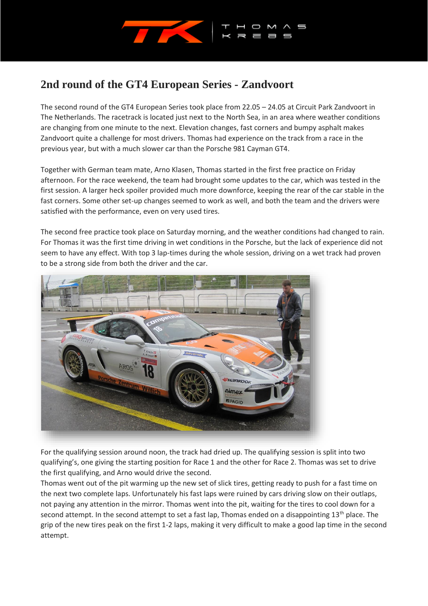

## **2nd round of the GT4 European Series - Zandvoort**

The second round of the GT4 European Series took place from 22.05 – 24.05 at Circuit Park Zandvoort in The Netherlands. The racetrack is located just next to the North Sea, in an area where weather conditions are changing from one minute to the next. Elevation changes, fast corners and bumpy asphalt makes Zandvoort quite a challenge for most drivers. Thomas had experience on the track from a race in the previous year, but with a much slower car than the Porsche 981 Cayman GT4.

Together with German team mate, Arno Klasen, Thomas started in the first free practice on Friday afternoon. For the race weekend, the team had brought some updates to the car, which was tested in the first session. A larger heck spoiler provided much more downforce, keeping the rear of the car stable in the fast corners. Some other set-up changes seemed to work as well, and both the team and the drivers were satisfied with the performance, even on very used tires.

The second free practice took place on Saturday morning, and the weather conditions had changed to rain. For Thomas it was the first time driving in wet conditions in the Porsche, but the lack of experience did not seem to have any effect. With top 3 lap-times during the whole session, driving on a wet track had proven to be a strong side from both the driver and the car.



For the qualifying session around noon, the track had dried up. The qualifying session is split into two qualifying's, one giving the starting position for Race 1 and the other for Race 2. Thomas was set to drive the first qualifying, and Arno would drive the second.

Thomas went out of the pit warming up the new set of slick tires, getting ready to push for a fast time on the next two complete laps. Unfortunately his fast laps were ruined by cars driving slow on their outlaps, not paying any attention in the mirror. Thomas went into the pit, waiting for the tires to cool down for a second attempt. In the second attempt to set a fast lap, Thomas ended on a disappointing 13<sup>th</sup> place. The grip of the new tires peak on the first 1-2 laps, making it very difficult to make a good lap time in the second attempt.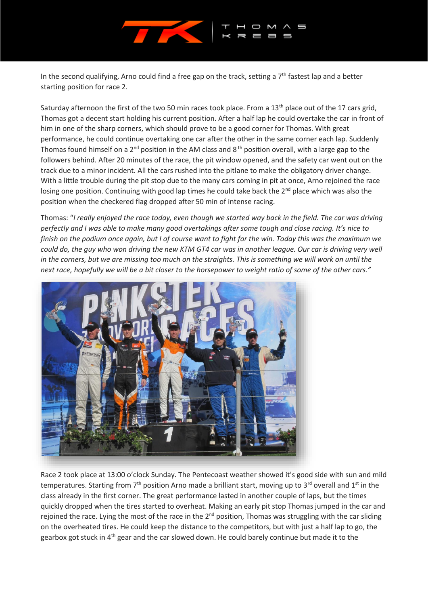

In the second qualifying, Arno could find a free gap on the track, setting a 7<sup>th</sup> fastest lap and a better starting position for race 2.

Saturday afternoon the first of the two 50 min races took place. From a 13<sup>th</sup> place out of the 17 cars grid, Thomas got a decent start holding his current position. After a half lap he could overtake the car in front of him in one of the sharp corners, which should prove to be a good corner for Thomas. With great performance, he could continue overtaking one car after the other in the same corner each lap. Suddenly Thomas found himself on a 2<sup>nd</sup> position in the AM class and 8<sup>th</sup> position overall, with a large gap to the followers behind. After 20 minutes of the race, the pit window opened, and the safety car went out on the track due to a minor incident. All the cars rushed into the pitlane to make the obligatory driver change. With a little trouble during the pit stop due to the many cars coming in pit at once, Arno rejoined the race losing one position. Continuing with good lap times he could take back the 2<sup>nd</sup> place which was also the position when the checkered flag dropped after 50 min of intense racing.

Thomas: "*I really enjoyed the race today, even though we started way back in the field. The car was driving perfectly and I was able to make many good overtakings after some tough and close racing. It's nice to finish on the podium once again, but I of course want to fight for the win. Today this was the maximum we could do, the guy who won driving the new KTM GT4 car was in another league. Our car is driving very well in the corners, but we are missing too much on the straights. This is something we will work on until the next race, hopefully we will be a bit closer to the horsepower to weight ratio of some of the other cars."*



Race 2 took place at 13:00 o'clock Sunday. The Pentecoast weather showed it's good side with sun and mild temperatures. Starting from  $7<sup>th</sup>$  position Arno made a brilliant start, moving up to 3<sup>rd</sup> overall and 1<sup>st</sup> in the class already in the first corner. The great performance lasted in another couple of laps, but the times quickly dropped when the tires started to overheat. Making an early pit stop Thomas jumped in the car and rejoined the race. Lying the most of the race in the 2<sup>nd</sup> position, Thomas was struggling with the car sliding on the overheated tires. He could keep the distance to the competitors, but with just a half lap to go, the gearbox got stuck in 4<sup>th</sup> gear and the car slowed down. He could barely continue but made it to the